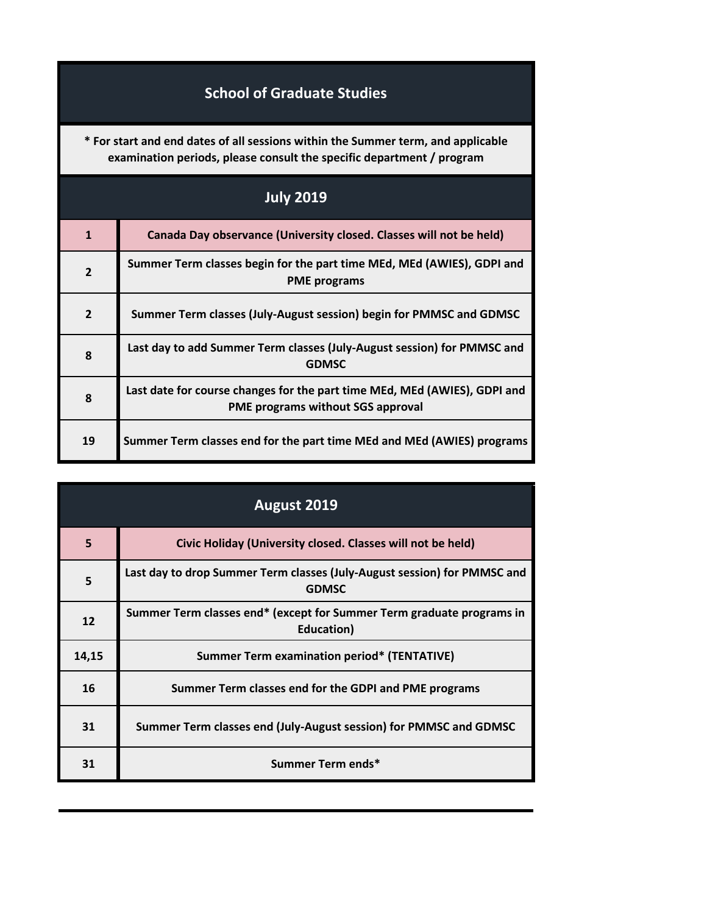## **School of Graduate Studies**

**\* For start and end dates of all sessions within the Summer term, and applicable examination periods, please consult the specific department / program**

| <b>July 2019</b> |                                                                                                                       |
|------------------|-----------------------------------------------------------------------------------------------------------------------|
| $\mathbf{1}$     | Canada Day observance (University closed. Classes will not be held)                                                   |
| $\overline{2}$   | Summer Term classes begin for the part time MEd, MEd (AWIES), GDPI and<br><b>PME</b> programs                         |
| $\overline{2}$   | Summer Term classes (July-August session) begin for PMMSC and GDMSC                                                   |
| 8                | Last day to add Summer Term classes (July-August session) for PMMSC and<br><b>GDMSC</b>                               |
| 8                | Last date for course changes for the part time MEd, MEd (AWIES), GDPI and<br><b>PME programs without SGS approval</b> |
| 19               | Summer Term classes end for the part time MEd and MEd (AWIES) programs                                                |

| <b>August 2019</b> |                                                                                             |
|--------------------|---------------------------------------------------------------------------------------------|
| 5                  | Civic Holiday (University closed. Classes will not be held)                                 |
| 5                  | Last day to drop Summer Term classes (July-August session) for PMMSC and<br><b>GDMSC</b>    |
| 12                 | Summer Term classes end* (except for Summer Term graduate programs in<br><b>Education</b> ) |
| 14,15              | <b>Summer Term examination period* (TENTATIVE)</b>                                          |
| 16                 | Summer Term classes end for the GDPI and PME programs                                       |
| 31                 | Summer Term classes end (July-August session) for PMMSC and GDMSC                           |
| 31                 | Summer Term ends*                                                                           |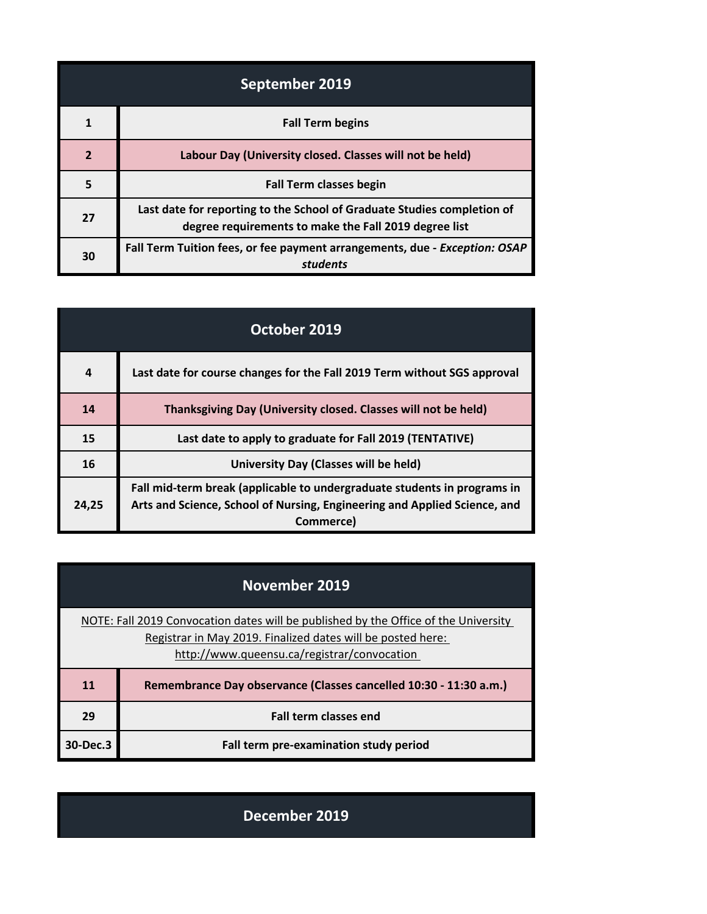| September 2019 |                                                                                                                                  |
|----------------|----------------------------------------------------------------------------------------------------------------------------------|
|                | <b>Fall Term begins</b>                                                                                                          |
| $\overline{2}$ | Labour Day (University closed. Classes will not be held)                                                                         |
| 5              | <b>Fall Term classes begin</b>                                                                                                   |
| 27             | Last date for reporting to the School of Graduate Studies completion of<br>degree requirements to make the Fall 2019 degree list |
| 30             | Fall Term Tuition fees, or fee payment arrangements, due - Exception: OSAP<br>students                                           |

| October 2019 |                                                                                                                                                                    |
|--------------|--------------------------------------------------------------------------------------------------------------------------------------------------------------------|
| 4            | Last date for course changes for the Fall 2019 Term without SGS approval                                                                                           |
| 14           | Thanksgiving Day (University closed. Classes will not be held)                                                                                                     |
| 15           | Last date to apply to graduate for Fall 2019 (TENTATIVE)                                                                                                           |
| 16           | University Day (Classes will be held)                                                                                                                              |
| 24.25        | Fall mid-term break (applicable to undergraduate students in programs in<br>Arts and Science, School of Nursing, Engineering and Applied Science, and<br>Commerce) |

| <b>November 2019</b>                                                                                                                               |                                                                   |
|----------------------------------------------------------------------------------------------------------------------------------------------------|-------------------------------------------------------------------|
| NOTE: Fall 2019 Convocation dates will be published by the Office of the University<br>Registrar in May 2019. Finalized dates will be posted here: |                                                                   |
|                                                                                                                                                    | http://www.queensu.ca/registrar/convocation                       |
| 11                                                                                                                                                 | Remembrance Day observance (Classes cancelled 10:30 - 11:30 a.m.) |
| 29                                                                                                                                                 | <b>Fall term classes end</b>                                      |
| 30-Dec.3                                                                                                                                           | Fall term pre-examination study period                            |

**December 2019**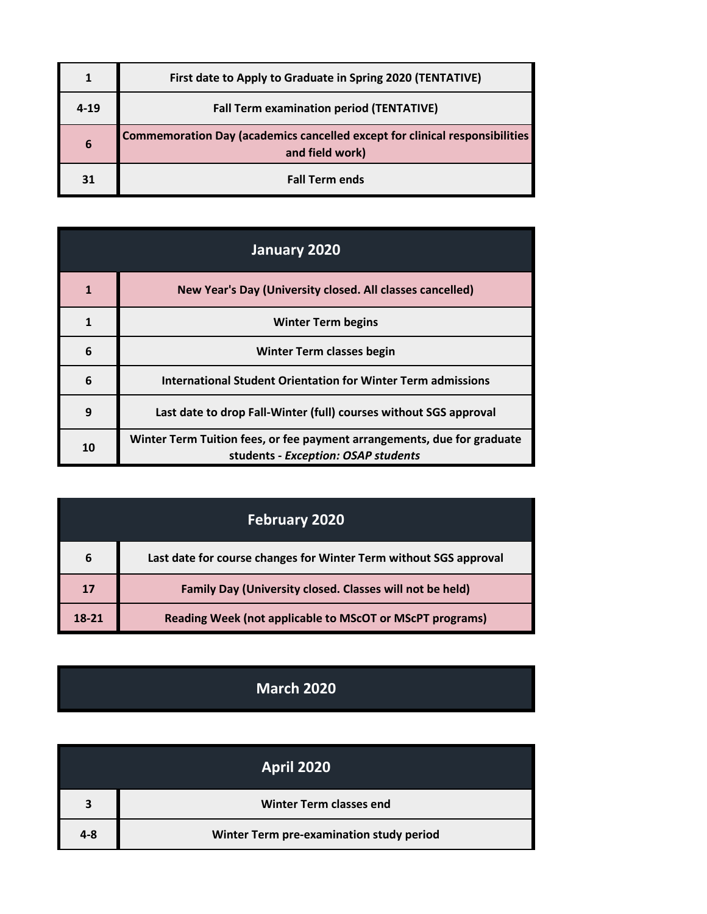|          | First date to Apply to Graduate in Spring 2020 (TENTATIVE)                                     |
|----------|------------------------------------------------------------------------------------------------|
| $4 - 19$ | <b>Fall Term examination period (TENTATIVE)</b>                                                |
| 6        | Commemoration Day (academics cancelled except for clinical responsibilities<br>and field work) |
| 31       | <b>Fall Term ends</b>                                                                          |

| January 2020 |                                                                                                                |
|--------------|----------------------------------------------------------------------------------------------------------------|
|              | New Year's Day (University closed. All classes cancelled)                                                      |
| 1            | <b>Winter Term begins</b>                                                                                      |
| 6            | <b>Winter Term classes begin</b>                                                                               |
| 6            | International Student Orientation for Winter Term admissions                                                   |
| 9            | Last date to drop Fall-Winter (full) courses without SGS approval                                              |
| 10           | Winter Term Tuition fees, or fee payment arrangements, due for graduate<br>students - Exception: OSAP students |

|       | <b>February 2020</b>                                              |
|-------|-------------------------------------------------------------------|
| 6     | Last date for course changes for Winter Term without SGS approval |
| 17    | Family Day (University closed. Classes will not be held)          |
| 18-21 | <b>Reading Week (not applicable to MScOT or MScPT programs)</b>   |

## **March 2020**

|         | <b>April 2020</b>                        |
|---------|------------------------------------------|
| 3       | <b>Winter Term classes end</b>           |
| $4 - 8$ | Winter Term pre-examination study period |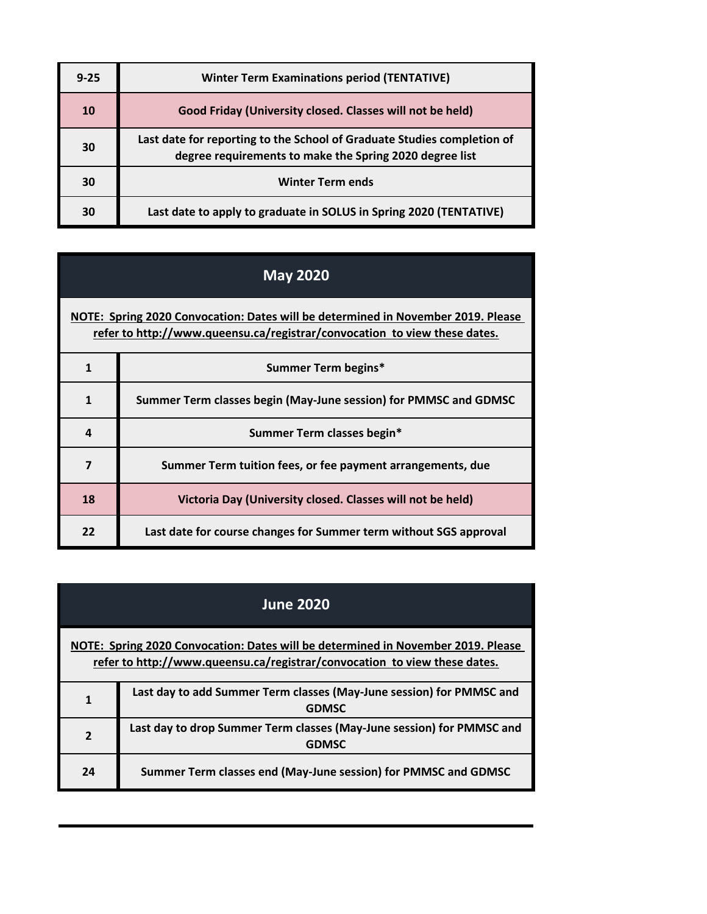| $9 - 25$ | <b>Winter Term Examinations period (TENTATIVE)</b>                                                                                 |
|----------|------------------------------------------------------------------------------------------------------------------------------------|
| 10       | Good Friday (University closed. Classes will not be held)                                                                          |
| 30       | Last date for reporting to the School of Graduate Studies completion of<br>degree requirements to make the Spring 2020 degree list |
| 30       | <b>Winter Term ends</b>                                                                                                            |
| 30       | Last date to apply to graduate in SOLUS in Spring 2020 (TENTATIVE)                                                                 |

## **May 2020**

**[NOTE: Sp](http://www.queensu.ca/registrar/convocation)ring 2020 Convocation: Dates will be determined in November 2019. Please [refer](http://www.queensu.ca/registrar/convocation) to http://www.queensu.ca/registrar/convocation to view these dates.**

|    | Summer Term begins*                                               |
|----|-------------------------------------------------------------------|
|    | Summer Term classes begin (May-June session) for PMMSC and GDMSC  |
| 4  | Summer Term classes begin*                                        |
|    | Summer Term tuition fees, or fee payment arrangements, due        |
| 18 | Victoria Day (University closed. Classes will not be held)        |
| 22 | Last date for course changes for Summer term without SGS approval |

|                                                                                                                                                               | <b>June 2020</b>                                                                      |
|---------------------------------------------------------------------------------------------------------------------------------------------------------------|---------------------------------------------------------------------------------------|
| NOTE: Spring 2020 Convocation: Dates will be determined in November 2019. Please<br>refer to http://www.queensu.ca/registrar/convocation to view these dates. |                                                                                       |
| 1                                                                                                                                                             | Last day to add Summer Term classes (May-June session) for PMMSC and<br><b>GDMSC</b>  |
| $\overline{2}$                                                                                                                                                | Last day to drop Summer Term classes (May-June session) for PMMSC and<br><b>GDMSC</b> |
| 24                                                                                                                                                            | Summer Term classes end (May-June session) for PMMSC and GDMSC                        |